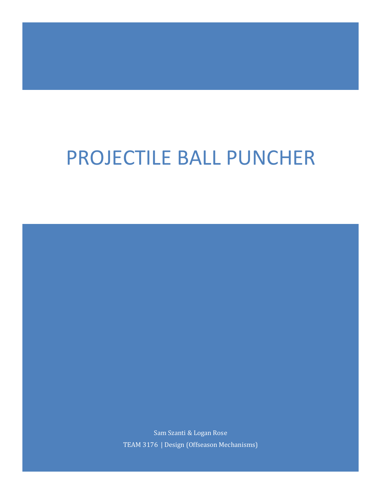# PROJECTILE BALL PUNCHER

Sam Szanti & Logan Rose TEAM 3176 | Design (Offseason Mechanisms)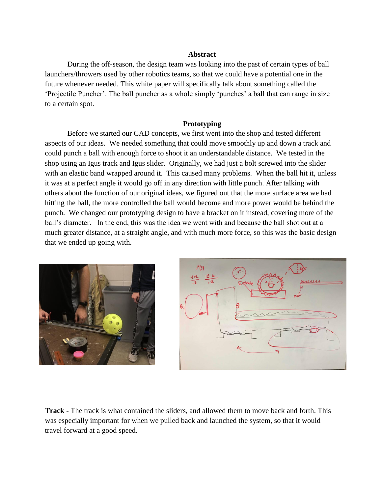## **Abstract**

During the off-season, the design team was looking into the past of certain types of ball launchers/throwers used by other robotics teams, so that we could have a potential one in the future whenever needed. This white paper will specifically talk about something called the 'Projectile Puncher'. The ball puncher as a whole simply 'punches' a ball that can range in size to a certain spot.

## **Prototyping**

Before we started our CAD concepts, we first went into the shop and tested different aspects of our ideas. We needed something that could move smoothly up and down a track and could punch a ball with enough force to shoot it an understandable distance. We tested in the shop using an Igus track and Igus slider. Originally, we had just a bolt screwed into the slider with an elastic band wrapped around it. This caused many problems. When the ball hit it, unless it was at a perfect angle it would go off in any direction with little punch. After talking with others about the function of our original ideas, we figured out that the more surface area we had hitting the ball, the more controlled the ball would become and more power would be behind the punch. We changed our prototyping design to have a bracket on it instead, covering more of the ball's diameter. In the end, this was the idea we went with and because the ball shot out at a much greater distance, at a straight angle, and with much more force, so this was the basic design that we ended up going with.





**Track -** The track is what contained the sliders, and allowed them to move back and forth. This was especially important for when we pulled back and launched the system, so that it would travel forward at a good speed.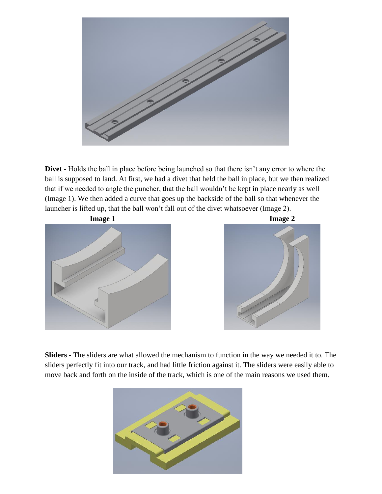

**Divet -** Holds the ball in place before being launched so that there isn't any error to where the ball is supposed to land. At first, we had a divet that held the ball in place, but we then realized that if we needed to angle the puncher, that the ball wouldn't be kept in place nearly as well (Image 1). We then added a curve that goes up the backside of the ball so that whenever the launcher is lifted up, that the ball won't fall out of the divet whatsoever (Image 2).





**Sliders -** The sliders are what allowed the mechanism to function in the way we needed it to. The sliders perfectly fit into our track, and had little friction against it. The sliders were easily able to move back and forth on the inside of the track, which is one of the main reasons we used them.

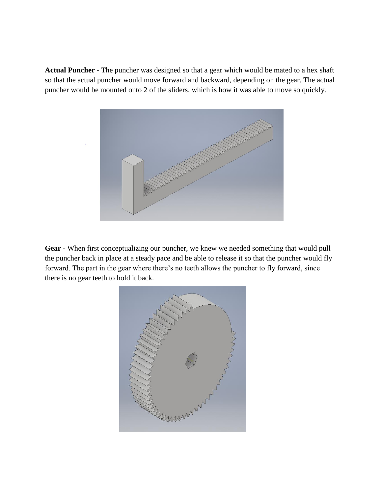**Actual Puncher -** The puncher was designed so that a gear which would be mated to a hex shaft so that the actual puncher would move forward and backward, depending on the gear. The actual puncher would be mounted onto 2 of the sliders, which is how it was able to move so quickly.



**Gear -** When first conceptualizing our puncher, we knew we needed something that would pull the puncher back in place at a steady pace and be able to release it so that the puncher would fly forward. The part in the gear where there's no teeth allows the puncher to fly forward, since there is no gear teeth to hold it back.